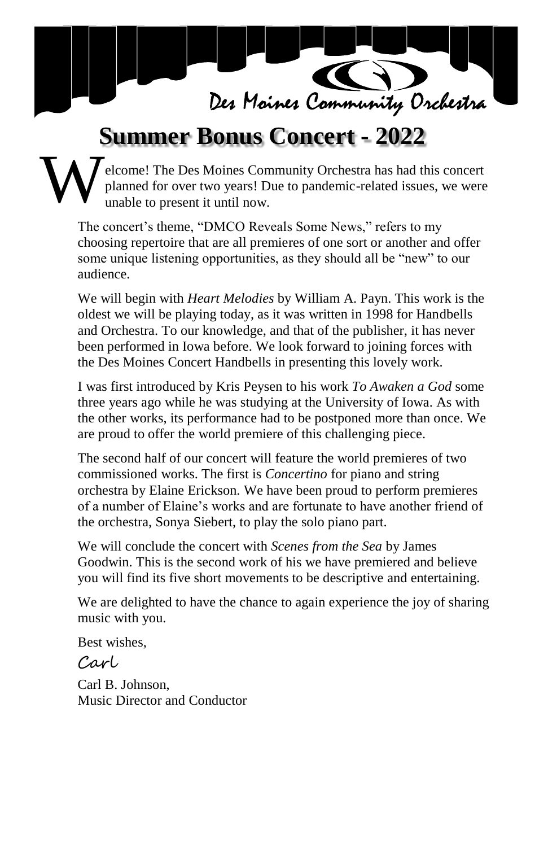

# **Summer Bonus Concert - 2022**

#### elcome! The Des Moines Community Orchestra has had this concert planned for over two years! Due to pandemic-related issues, we were unable to present it until now. W

The concert's theme, "DMCO Reveals Some News," refers to my choosing repertoire that are all premieres of one sort or another and offer some unique listening opportunities, as they should all be "new" to our audience.

We will begin with *Heart Melodies* by William A. Payn. This work is the oldest we will be playing today, as it was written in 1998 for Handbells and Orchestra. To our knowledge, and that of the publisher, it has never been performed in Iowa before. We look forward to joining forces with the Des Moines Concert Handbells in presenting this lovely work.

I was first introduced by Kris Peysen to his work *To Awaken a God* some three years ago while he was studying at the University of Iowa. As with the other works, its performance had to be postponed more than once. We are proud to offer the world premiere of this challenging piece.

The second half of our concert will feature the world premieres of two commissioned works. The first is *Concertino* for piano and string orchestra by Elaine Erickson. We have been proud to perform premieres of a number of Elaine's works and are fortunate to have another friend of the orchestra, Sonya Siebert, to play the solo piano part.

We will conclude the concert with *Scenes from the Sea* by James Goodwin. This is the second work of his we have premiered and believe you will find its five short movements to be descriptive and entertaining.

We are delighted to have the chance to again experience the joy of sharing music with you.

Best wishes,

### Carl

Carl B. Johnson, Music Director and Conductor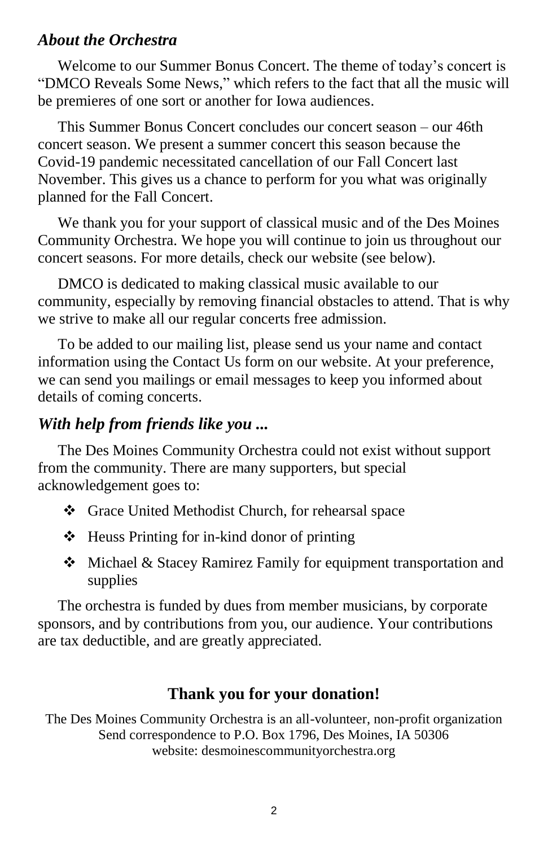#### *About the Orchestra*

Welcome to our Summer Bonus Concert. The theme of today's concert is "DMCO Reveals Some News," which refers to the fact that all the music will be premieres of one sort or another for Iowa audiences.

This Summer Bonus Concert concludes our concert season – our 46th concert season. We present a summer concert this season because the Covid-19 pandemic necessitated cancellation of our Fall Concert last November. This gives us a chance to perform for you what was originally planned for the Fall Concert.

We thank you for your support of classical music and of the Des Moines Community Orchestra. We hope you will continue to join us throughout our concert seasons. For more details, check our website (see below).

DMCO is dedicated to making classical music available to our community, especially by removing financial obstacles to attend. That is why we strive to make all our regular concerts free admission.

To be added to our mailing list, please send us your name and contact information using the Contact Us form on our website. At your preference, we can send you mailings or email messages to keep you informed about details of coming concerts.

#### *With help from friends like you ...*

The Des Moines Community Orchestra could not exist without support from the community. There are many supporters, but special acknowledgement goes to:

- Grace United Methodist Church, for rehearsal space
- $\triangleleft$  Heuss Printing for in-kind donor of printing
- Michael & Stacey Ramirez Family for equipment transportation and supplies

The orchestra is funded by dues from member musicians, by corporate sponsors, and by contributions from you, our audience. Your contributions are tax deductible, and are greatly appreciated.

#### **Thank you for your donation!**

The Des Moines Community Orchestra is an all-volunteer, non-profit organization Send correspondence to P.O. Box 1796, Des Moines, IA 50306 website: desmoinescommunityorchestra.org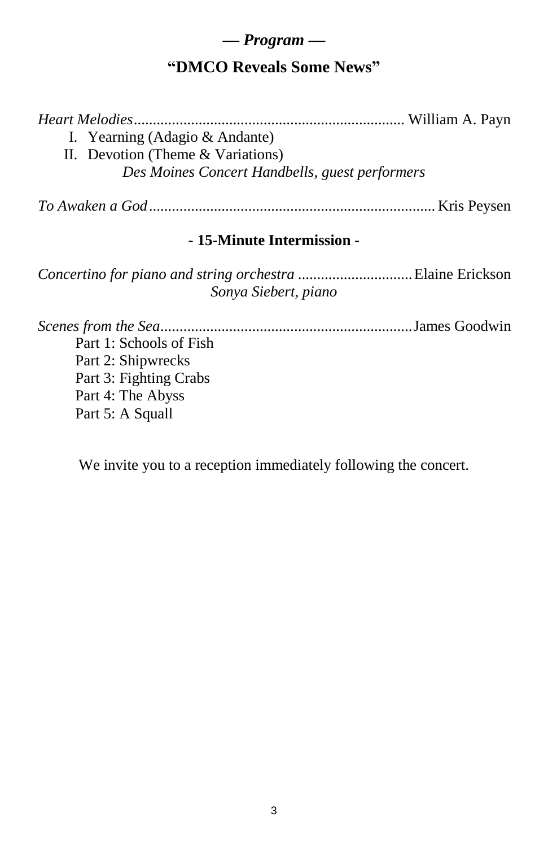#### *— Program —*

# **"DMCO Reveals Some News"**

*Heart Melodies*....................................................................... William A. Payn I. Yearning (Adagio & Andante) II. Devotion (Theme & Variations) *Des Moines Concert Handbells, guest performers*

*To Awaken a God*........................................................................... Kris Peysen

#### **- 15-Minute Intermission -**

*Concertino for piano and string orchestra* ..............................Elaine Erickson *Sonya Siebert, piano*

*Scenes from the Sea*..................................................................James Goodwin Part 1: Schools of Fish Part 2: Shipwrecks Part 3: Fighting Crabs Part 4: The Abyss Part 5: A Squall

We invite you to a reception immediately following the concert.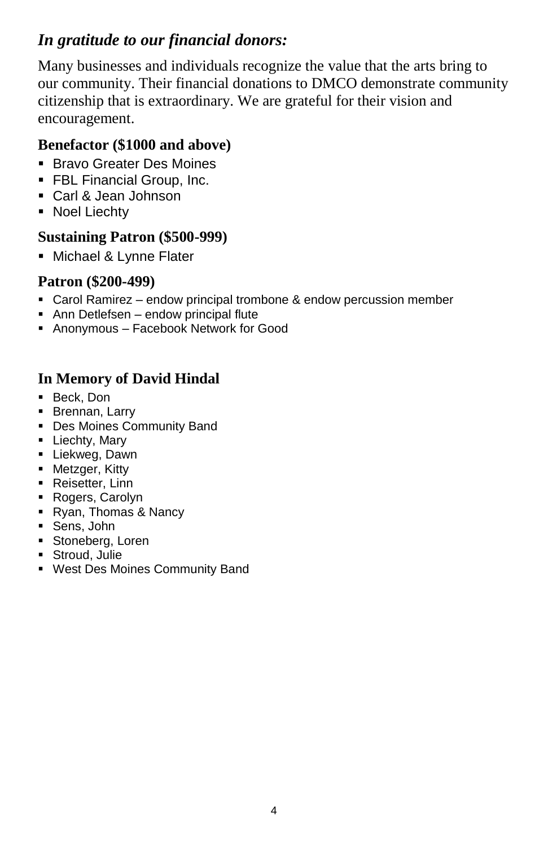# *In gratitude to our financial donors:*

Many businesses and individuals recognize the value that the arts bring to our community. Their financial donations to DMCO demonstrate community citizenship that is extraordinary. We are grateful for their vision and encouragement.

### **Benefactor (\$1000 and above)**

- Bravo Greater Des Moines
- **FBL Financial Group, Inc.**
- Carl & Jean Johnson
- Noel Liechty

#### **Sustaining Patron (\$500-999)**

**Michael & Lynne Flater** 

### **Patron (\$200-499)**

- Carol Ramirez endow principal trombone & endow percussion member
- Ann Detlefsen endow principal flute
- Anonymous Facebook Network for Good

### **In Memory of David Hindal**

- Beck, Don
- **Brennan, Larry**
- Des Moines Community Band
- **-** Liechty, Mary
- **Liekweg, Dawn**
- **Metzger, Kitty**
- Reisetter, Linn
- Rogers, Carolyn
- Ryan, Thomas & Nancy
- Sens, John
- **Stoneberg, Loren**
- **Stroud, Julie**
- West Des Moines Community Band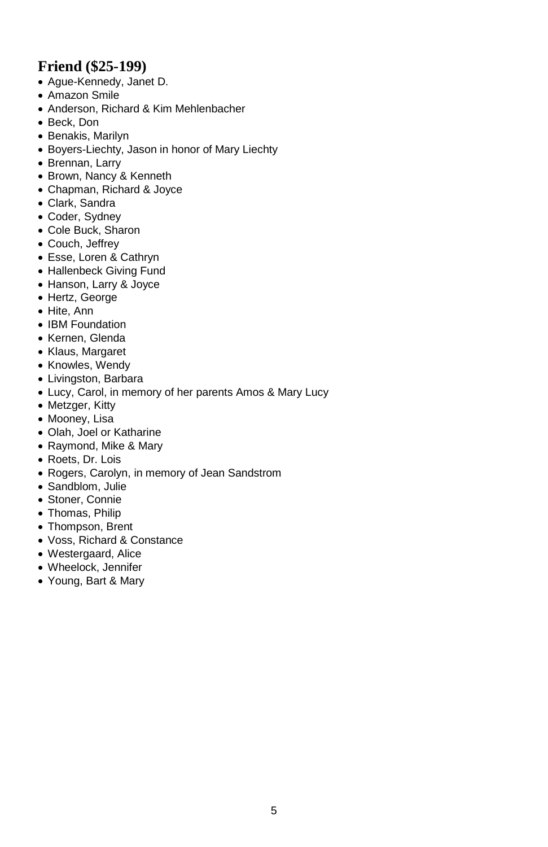### **Friend (\$25-199)**

- Ague-Kennedy, Janet D.
- Amazon Smile
- Anderson, Richard & Kim Mehlenbacher
- Beck, Don
- Benakis, Marilyn
- Boyers-Liechty, Jason in honor of Mary Liechty
- Brennan, Larry
- Brown, Nancy & Kenneth
- Chapman, Richard & Joyce
- Clark, Sandra
- Coder, Sydney
- Cole Buck, Sharon
- Couch, Jeffrey
- Esse, Loren & Cathryn
- Hallenbeck Giving Fund
- Hanson, Larry & Joyce
- Hertz, George
- Hite, Ann
- IBM Foundation
- Kernen, Glenda
- Klaus, Margaret
- Knowles, Wendy
- Livingston, Barbara
- Lucy, Carol, in memory of her parents Amos & Mary Lucy
- Metzger, Kitty
- Mooney, Lisa
- Olah, Joel or Katharine
- Raymond, Mike & Mary
- Roets, Dr. Lois
- Rogers, Carolyn, in memory of Jean Sandstrom
- Sandblom, Julie
- Stoner, Connie
- Thomas, Philip
- Thompson, Brent
- Voss, Richard & Constance
- Westergaard, Alice
- Wheelock, Jennifer
- Young, Bart & Mary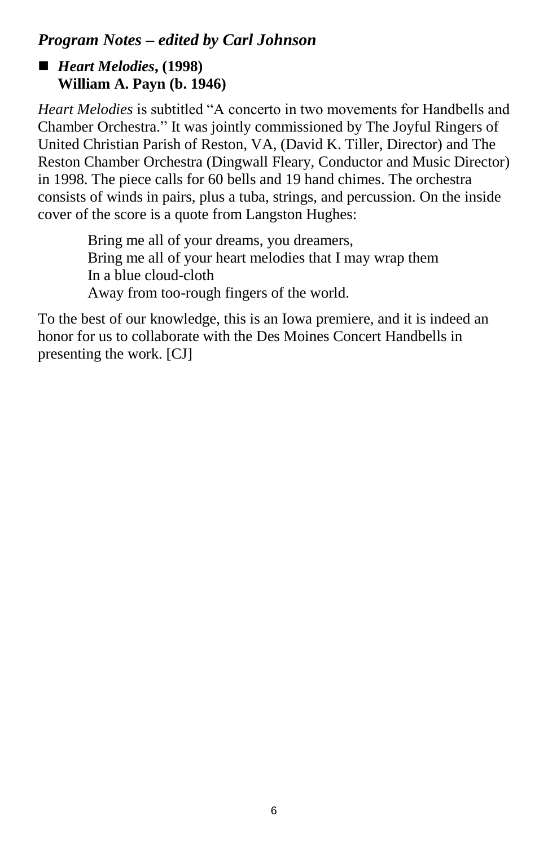# *Program Notes – edited by Carl Johnson*

# ■ *Heart Melodies***,** (1998) **William A. Payn (b. 1946)**

*Heart Melodies* is subtitled "A concerto in two movements for Handbells and Chamber Orchestra." It was jointly commissioned by The Joyful Ringers of United Christian Parish of Reston, VA, (David K. Tiller, Director) and The Reston Chamber Orchestra (Dingwall Fleary, Conductor and Music Director) in 1998. The piece calls for 60 bells and 19 hand chimes. The orchestra consists of winds in pairs, plus a tuba, strings, and percussion. On the inside cover of the score is a quote from Langston Hughes:

> Bring me all of your dreams, you dreamers, Bring me all of your heart melodies that I may wrap them In a blue cloud-cloth Away from too-rough fingers of the world.

To the best of our knowledge, this is an Iowa premiere, and it is indeed an honor for us to collaborate with the Des Moines Concert Handbells in presenting the work. [CJ]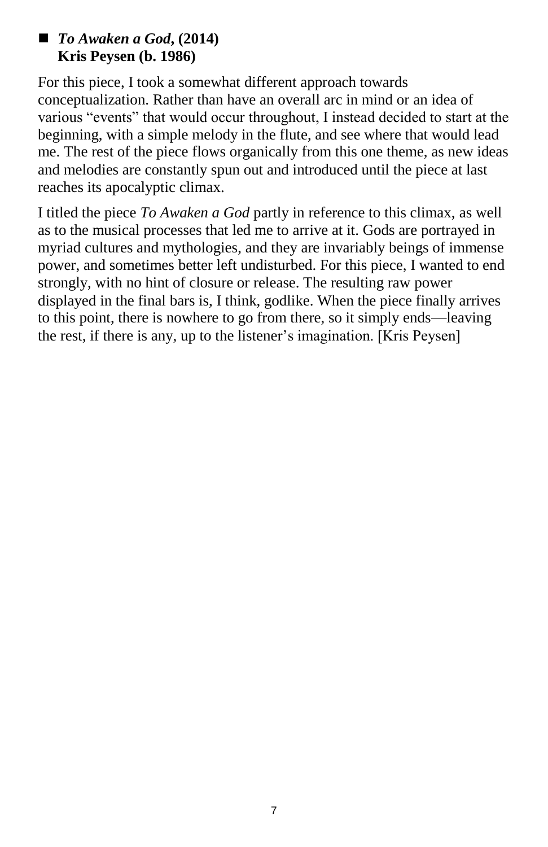### ■ *To Awaken a God***, (2014) Kris Peysen (b. 1986)**

For this piece, I took a somewhat different approach towards conceptualization. Rather than have an overall arc in mind or an idea of various "events" that would occur throughout, I instead decided to start at the beginning, with a simple melody in the flute, and see where that would lead me. The rest of the piece flows organically from this one theme, as new ideas and melodies are constantly spun out and introduced until the piece at last reaches its apocalyptic climax.

I titled the piece *To Awaken a God* partly in reference to this climax, as well as to the musical processes that led me to arrive at it. Gods are portrayed in myriad cultures and mythologies, and they are invariably beings of immense power, and sometimes better left undisturbed. For this piece, I wanted to end strongly, with no hint of closure or release. The resulting raw power displayed in the final bars is, I think, godlike. When the piece finally arrives to this point, there is nowhere to go from there, so it simply ends—leaving the rest, if there is any, up to the listener's imagination. [Kris Peysen]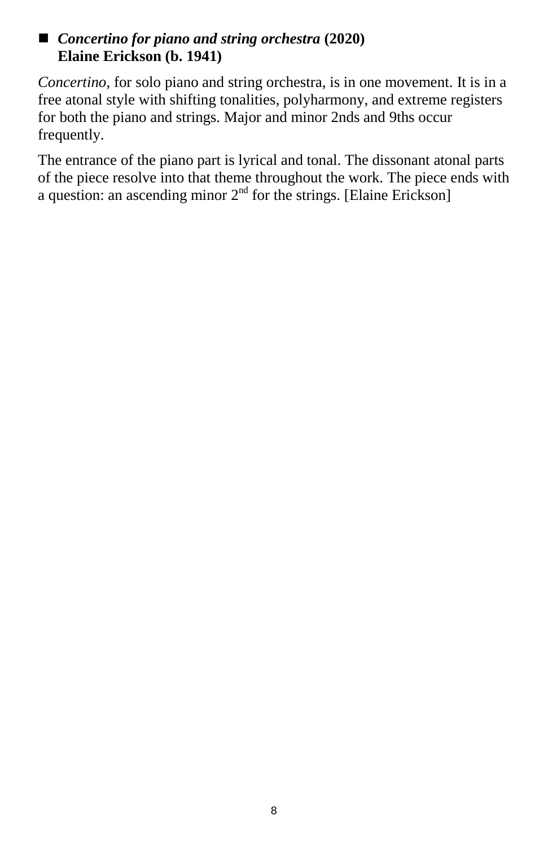### ■ *Concertino for piano and string orchestra* (2020) **Elaine Erickson (b. 1941)**

*Concertino*, for solo piano and string orchestra, is in one movement. It is in a free atonal style with shifting tonalities, polyharmony, and extreme registers for both the piano and strings. Major and minor 2nds and 9ths occur frequently.

The entrance of the piano part is lyrical and tonal. The dissonant atonal parts of the piece resolve into that theme throughout the work. The piece ends with a question: an ascending minor  $2<sup>nd</sup>$  for the strings. [Elaine Erickson]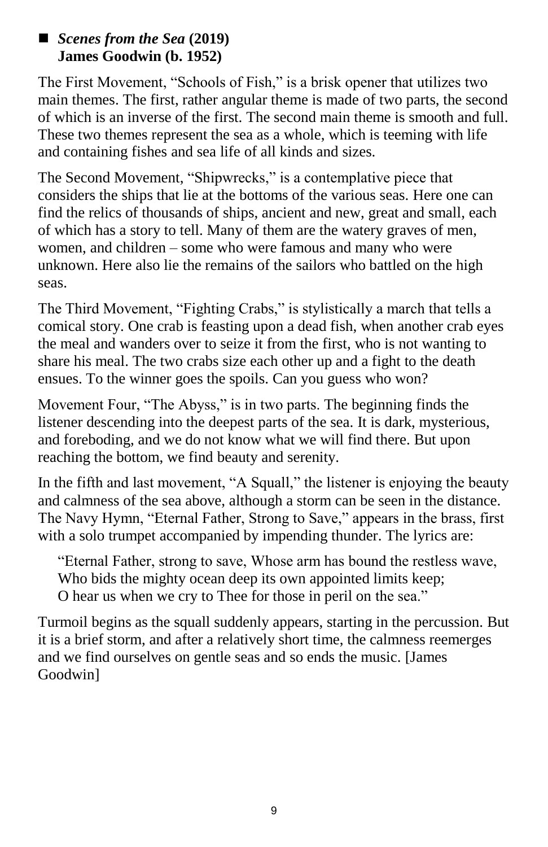### *Scenes from the Sea* **(2019) James Goodwin (b. 1952)**

The First Movement, "Schools of Fish," is a brisk opener that utilizes two main themes. The first, rather angular theme is made of two parts, the second of which is an inverse of the first. The second main theme is smooth and full. These two themes represent the sea as a whole, which is teeming with life and containing fishes and sea life of all kinds and sizes.

The Second Movement, "Shipwrecks," is a contemplative piece that considers the ships that lie at the bottoms of the various seas. Here one can find the relics of thousands of ships, ancient and new, great and small, each of which has a story to tell. Many of them are the watery graves of men, women, and children – some who were famous and many who were unknown. Here also lie the remains of the sailors who battled on the high seas.

The Third Movement, "Fighting Crabs," is stylistically a march that tells a comical story. One crab is feasting upon a dead fish, when another crab eyes the meal and wanders over to seize it from the first, who is not wanting to share his meal. The two crabs size each other up and a fight to the death ensues. To the winner goes the spoils. Can you guess who won?

Movement Four, "The Abyss," is in two parts. The beginning finds the listener descending into the deepest parts of the sea. It is dark, mysterious, and foreboding, and we do not know what we will find there. But upon reaching the bottom, we find beauty and serenity.

In the fifth and last movement, "A Squall," the listener is enjoying the beauty and calmness of the sea above, although a storm can be seen in the distance. The Navy Hymn, "Eternal Father, Strong to Save," appears in the brass, first with a solo trumpet accompanied by impending thunder. The lyrics are:

"Eternal Father, strong to save, Whose arm has bound the restless wave, Who bids the mighty ocean deep its own appointed limits keep; O hear us when we cry to Thee for those in peril on the sea."

Turmoil begins as the squall suddenly appears, starting in the percussion. But it is a brief storm, and after a relatively short time, the calmness reemerges and we find ourselves on gentle seas and so ends the music. [James Goodwin]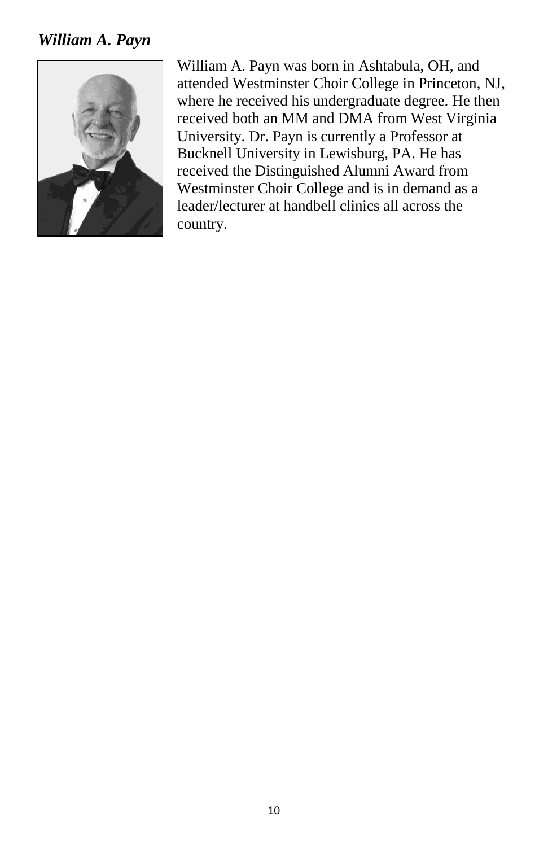### *William A. Payn*



William A. Payn was born in Ashtabula, OH, and attended Westminster Choir College in Princeton, NJ, where he received his undergraduate degree. He then received both an MM and DMA from West Virginia University. Dr. Payn is currently a Professor at Bucknell University in Lewisburg, PA. He has received the Distinguished Alumni Award from Westminster Choir College and is in demand as a leader/lecturer at handbell clinics all across the country.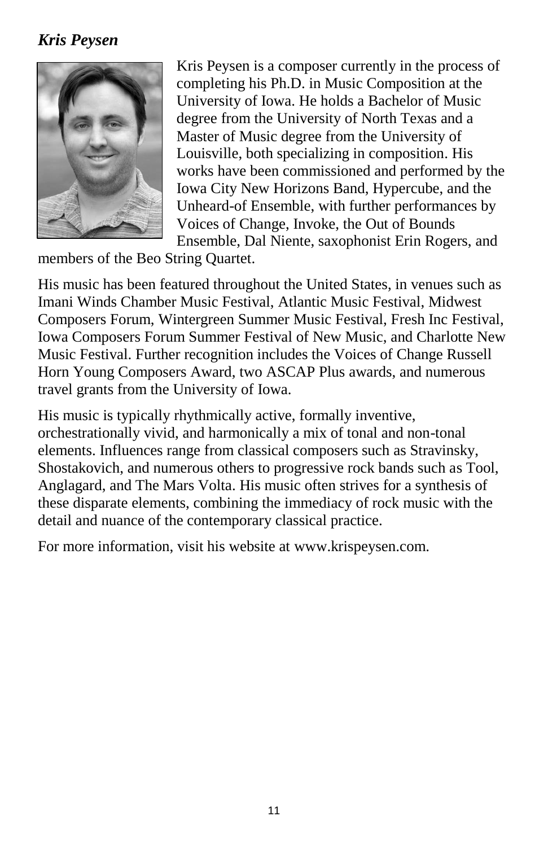# *Kris Peysen*



Kris Peysen is a composer currently in the process of completing his Ph.D. in Music Composition at the University of Iowa. He holds a Bachelor of Music degree from the University of North Texas and a Master of Music degree from the University of Louisville, both specializing in composition. His works have been commissioned and performed by the Iowa City New Horizons Band, Hypercube, and the Unheard-of Ensemble, with further performances by Voices of Change, Invoke, the Out of Bounds Ensemble, Dal Niente, saxophonist Erin Rogers, and

members of the Beo String Quartet.

His music has been featured throughout the United States, in venues such as Imani Winds Chamber Music Festival, Atlantic Music Festival, Midwest Composers Forum, Wintergreen Summer Music Festival, Fresh Inc Festival, Iowa Composers Forum Summer Festival of New Music, and Charlotte New Music Festival. Further recognition includes the Voices of Change Russell Horn Young Composers Award, two ASCAP Plus awards, and numerous travel grants from the University of Iowa.

His music is typically rhythmically active, formally inventive, orchestrationally vivid, and harmonically a mix of tonal and non-tonal elements. Influences range from classical composers such as Stravinsky, Shostakovich, and numerous others to progressive rock bands such as Tool, Anglagard, and The Mars Volta. His music often strives for a synthesis of these disparate elements, combining the immediacy of rock music with the detail and nuance of the contemporary classical practice.

For more information, visit his website at www.krispeysen.com.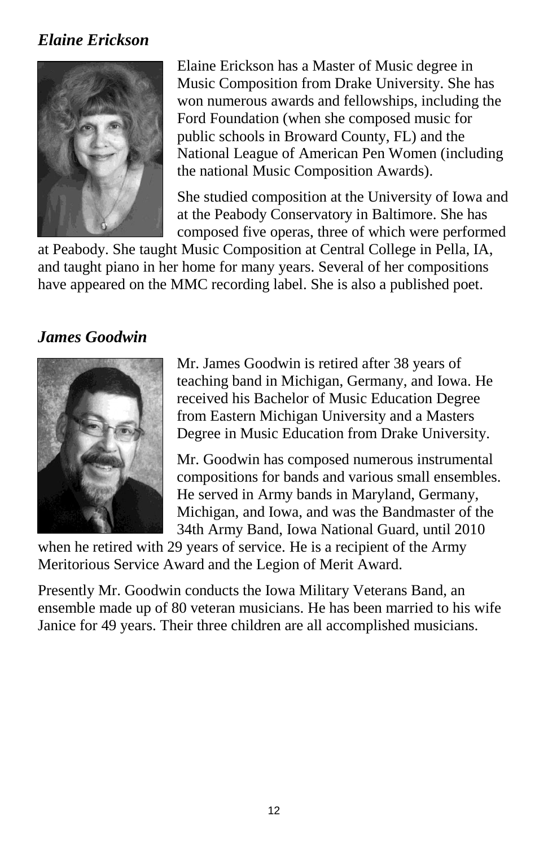# *Elaine Erickson*



Elaine Erickson has a Master of Music degree in Music Composition from Drake University. She has won numerous awards and fellowships, including the Ford Foundation (when she composed music for public schools in Broward County, FL) and the National League of American Pen Women (including the national Music Composition Awards).

She studied composition at the University of Iowa and at the Peabody Conservatory in Baltimore. She has composed five operas, three of which were performed

at Peabody. She taught Music Composition at Central College in Pella, IA, and taught piano in her home for many years. Several of her compositions have appeared on the MMC recording label. She is also a published poet.

# *James Goodwin*



Mr. James Goodwin is retired after 38 years of teaching band in Michigan, Germany, and Iowa. He received his Bachelor of Music Education Degree from Eastern Michigan University and a Masters Degree in Music Education from Drake University.

Mr. Goodwin has composed numerous instrumental compositions for bands and various small ensembles. He served in Army bands in Maryland, Germany, Michigan, and Iowa, and was the Bandmaster of the 34th Army Band, Iowa National Guard, until 2010

when he retired with 29 years of service. He is a recipient of the Army Meritorious Service Award and the Legion of Merit Award.

Presently Mr. Goodwin conducts the Iowa Military Veterans Band, an ensemble made up of 80 veteran musicians. He has been married to his wife Janice for 49 years. Their three children are all accomplished musicians.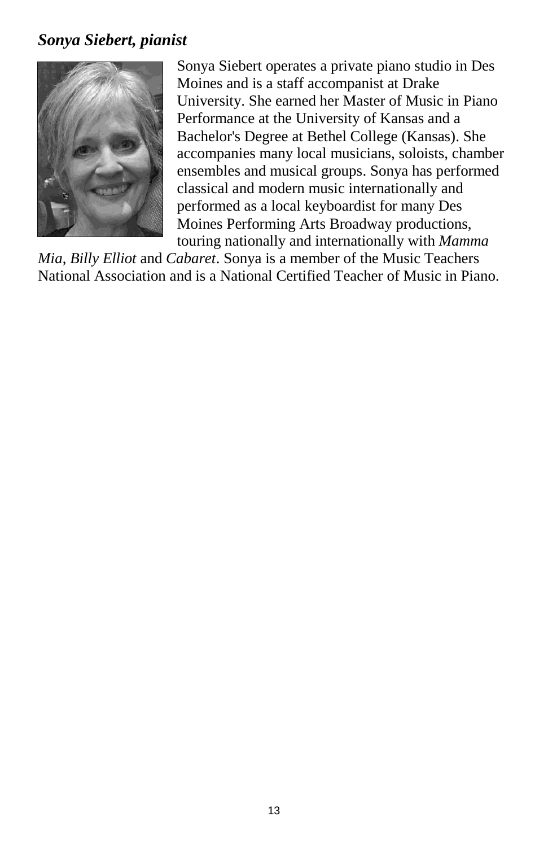### *Sonya Siebert, pianist*



Sonya Siebert operates a private piano studio in Des Moines and is a staff accompanist at Drake University. She earned her Master of Music in Piano Performance at the University of Kansas and a Bachelor's Degree at Bethel College (Kansas). She accompanies many local musicians, soloists, chamber ensembles and musical groups. Sonya has performed classical and modern music internationally and performed as a local keyboardist for many Des Moines Performing Arts Broadway productions, touring nationally and internationally with *Mamma* 

*Mia*, *Billy Elliot* and *Cabaret*. Sonya is a member of the Music Teachers National Association and is a National Certified Teacher of Music in Piano.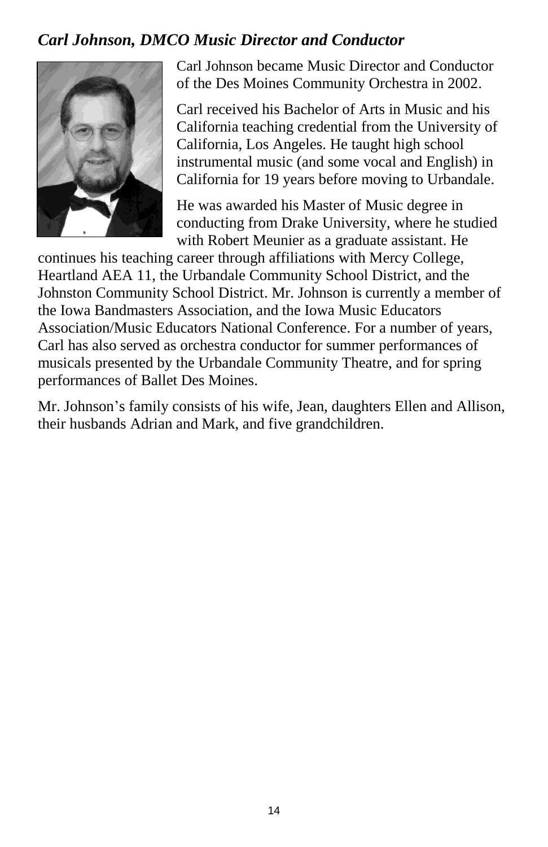# *Carl Johnson, DMCO Music Director and Conductor*



Carl Johnson became Music Director and Conductor of the Des Moines Community Orchestra in 2002.

Carl received his Bachelor of Arts in Music and his California teaching credential from the University of California, Los Angeles. He taught high school instrumental music (and some vocal and English) in California for 19 years before moving to Urbandale.

He was awarded his Master of Music degree in conducting from Drake University, where he studied with Robert Meunier as a graduate assistant. He

continues his teaching career through affiliations with Mercy College, Heartland AEA 11, the Urbandale Community School District, and the Johnston Community School District. Mr. Johnson is currently a member of the Iowa Bandmasters Association, and the Iowa Music Educators Association/Music Educators National Conference. For a number of years, Carl has also served as orchestra conductor for summer performances of musicals presented by the Urbandale Community Theatre, and for spring performances of Ballet Des Moines.

Mr. Johnson's family consists of his wife, Jean, daughters Ellen and Allison, their husbands Adrian and Mark, and five grandchildren.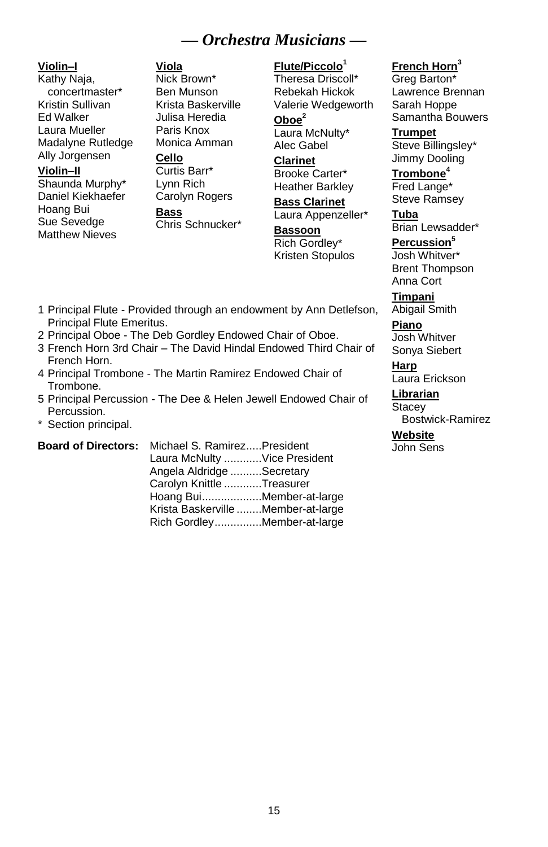### *— Orchestra Musicians —*

#### **Violin–I**

Kathy Naja, concertmaster\* Kristin Sullivan Ed Walker Laura Mueller Madalyne Rutledge Ally Jorgensen

#### **Violin–II**

Shaunda Murphy\* Daniel Kiekhaefer Hoang Bui Sue Sevedge Matthew Nieves

#### **Viola**

Nick Brown\* Ben Munson Krista Baskerville Julisa Heredia Paris Knox Monica Amman

#### **Cello**

Curtis Barr\* Lynn Rich Carolyn Rogers **Bass** Chris Schnucker\*

#### **Flute/Piccolo<sup>1</sup>**

Theresa Driscoll\* Rebekah Hickok Valerie Wedgeworth **Oboe<sup>2</sup>**

Laura McNulty\* Alec Gabel

**Clarinet** Brooke Carter\* Heather Barkley

**Bass Clarinet** Laura Appenzeller\* **Bassoon**

Rich Gordley\* Kristen Stopulos

#### **French Horn<sup>3</sup>**

Greg Barton\* Lawrence Brennan Sarah Hoppe Samantha Bouwers

**Trumpet** Steve Billingsley\* Jimmy Dooling

**Trombone<sup>4</sup>** Fred Lange\* Steve Ramsey

**Tuba** Brian Lewsadder\*

#### **Percussion<sup>5</sup>** Josh Whitver\*

Brent Thompson Anna Cort

**Timpani** Abigail Smith

**Piano** Josh Whitver Sonya Siebert

**Harp** Laura Erickson

**Librarian Stacey** 

Bostwick-Ramirez

#### **Website**

John Sens

- 1 Principal Flute Provided through an endowment by Ann Detlefson, Principal Flute Emeritus.
- 2 Principal Oboe The Deb Gordley Endowed Chair of Oboe.
- 3 French Horn 3rd Chair The David Hindal Endowed Third Chair of French Horn.
- 4 Principal Trombone The Martin Ramirez Endowed Chair of Trombone.
- 5 Principal Percussion The Dee & Helen Jewell Endowed Chair of Percussion.
- \* Section principal.

#### **Board of Directors:** Michael S. Ramirez.....President Laura McNulty ............Vice President Angela Aldridge ..........Secretary Carolyn Knittle ............Treasurer Hoang Bui...................Member-at-large Krista Baskerville ........Member-at-large Rich Gordley...............Member-at-large